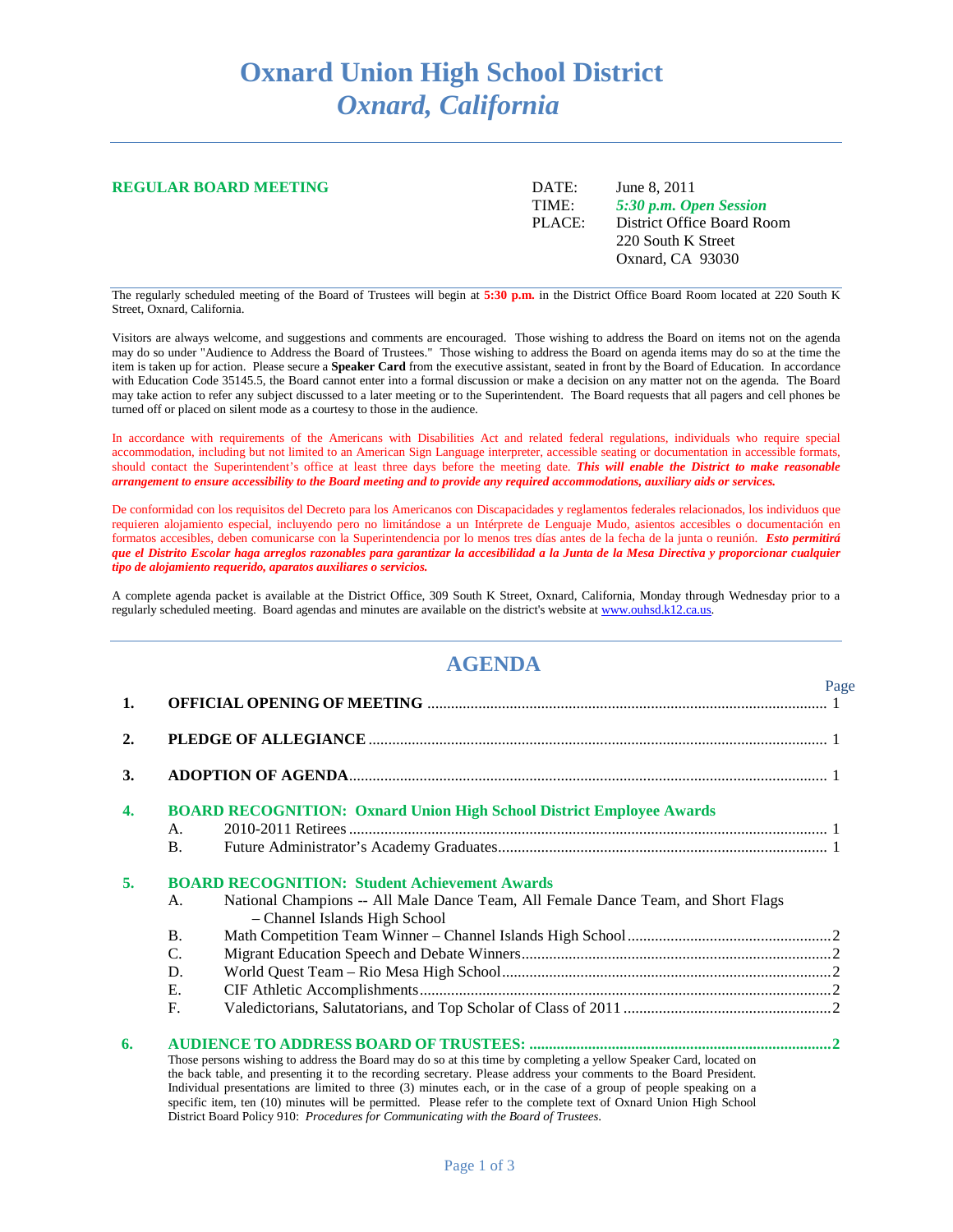# **Oxnard Union High School District** *Oxnard, California*

#### **REGULAR BOARD MEETING DATE:** June 8, 2011

TIME: *5:30 p.m. Open Session* PLACE: District Office Board Room 220 South K Street Oxnard, CA 93030

The regularly scheduled meeting of the Board of Trustees will begin at **5:30 p.m.** in the District Office Board Room located at 220 South K Street, Oxnard, California.

Visitors are always welcome, and suggestions and comments are encouraged. Those wishing to address the Board on items not on the agenda may do so under "Audience to Address the Board of Trustees." Those wishing to address the Board on agenda items may do so at the time the item is taken up for action. Please secure a **Speaker Card** from the executive assistant, seated in front by the Board of Education. In accordance with Education Code 35145.5, the Board cannot enter into a formal discussion or make a decision on any matter not on the agenda. The Board may take action to refer any subject discussed to a later meeting or to the Superintendent. The Board requests that all pagers and cell phones be turned off or placed on silent mode as a courtesy to those in the audience.

In accordance with requirements of the Americans with Disabilities Act and related federal regulations, individuals who require special accommodation, including but not limited to an American Sign Language interpreter, accessible seating or documentation in accessible formats, should contact the Superintendent's office at least three days before the meeting date. *This will enable the District to make reasonable arrangement to ensure accessibility to the Board meeting and to provide any required accommodations, auxiliary aids or services.*

De conformidad con los requisitos del Decreto para los Americanos con Discapacidades y reglamentos federales relacionados, los individuos que requieren alojamiento especial, incluyendo pero no limitándose a un Intérprete de Lenguaje Mudo, asientos accesibles o documentación en formatos accesibles, deben comunicarse con la Superintendencia por lo menos tres días antes de la fecha de la junta o reunión. *Esto permitirá que el Distrito Escolar haga arreglos razonables para garantizar la accesibilidad a la Junta de la Mesa Directiva y proporcionar cualquier tipo de alojamiento requerido, aparatos auxiliares o servicios.*

A complete agenda packet is available at the District Office, 309 South K Street, Oxnard, California, Monday through Wednesday prior to a regularly scheduled meeting. Board agendas and minutes are available on the district's website a[t www.ouhsd.k12.ca.us.](http://www.ouhsd.k12.ca.us/)

## **AGENDA**

| 1.               |                                                                             |                                                                                                                                                                                                                                       | Page |  |  |
|------------------|-----------------------------------------------------------------------------|---------------------------------------------------------------------------------------------------------------------------------------------------------------------------------------------------------------------------------------|------|--|--|
| 2.               |                                                                             |                                                                                                                                                                                                                                       |      |  |  |
| 3.               |                                                                             |                                                                                                                                                                                                                                       |      |  |  |
| $\overline{4}$ . | <b>BOARD RECOGNITION: Oxnard Union High School District Employee Awards</b> |                                                                                                                                                                                                                                       |      |  |  |
|                  | A.                                                                          |                                                                                                                                                                                                                                       |      |  |  |
|                  | <b>B.</b>                                                                   |                                                                                                                                                                                                                                       |      |  |  |
| 5.               |                                                                             | <b>BOARD RECOGNITION: Student Achievement Awards</b>                                                                                                                                                                                  |      |  |  |
|                  | A.                                                                          | National Champions -- All Male Dance Team, All Female Dance Team, and Short Flags<br>- Channel Islands High School                                                                                                                    |      |  |  |
|                  | <b>B.</b>                                                                   |                                                                                                                                                                                                                                       |      |  |  |
|                  | $\mathcal{C}$ .                                                             |                                                                                                                                                                                                                                       |      |  |  |
|                  | D.                                                                          |                                                                                                                                                                                                                                       |      |  |  |
|                  | Ε.                                                                          |                                                                                                                                                                                                                                       |      |  |  |
|                  | F.                                                                          |                                                                                                                                                                                                                                       |      |  |  |
| 6.               |                                                                             |                                                                                                                                                                                                                                       |      |  |  |
|                  |                                                                             | Those persons wishing to address the Board may do so at this time by completing a yellow Speaker Card, located on                                                                                                                     |      |  |  |
|                  |                                                                             | the back table, and presenting it to the recording secretary. Please address your comments to the Board President.                                                                                                                    |      |  |  |
|                  |                                                                             | Individual presentations are limited to three (3) minutes each, or in the case of a group of people speaking on a<br>specific item, ten (10) minutes will be permitted. Please refer to the complete text of Oxnard Union High School |      |  |  |
|                  |                                                                             |                                                                                                                                                                                                                                       |      |  |  |

District Board Policy 910: *Procedures for Communicating with the Board of Trustees*.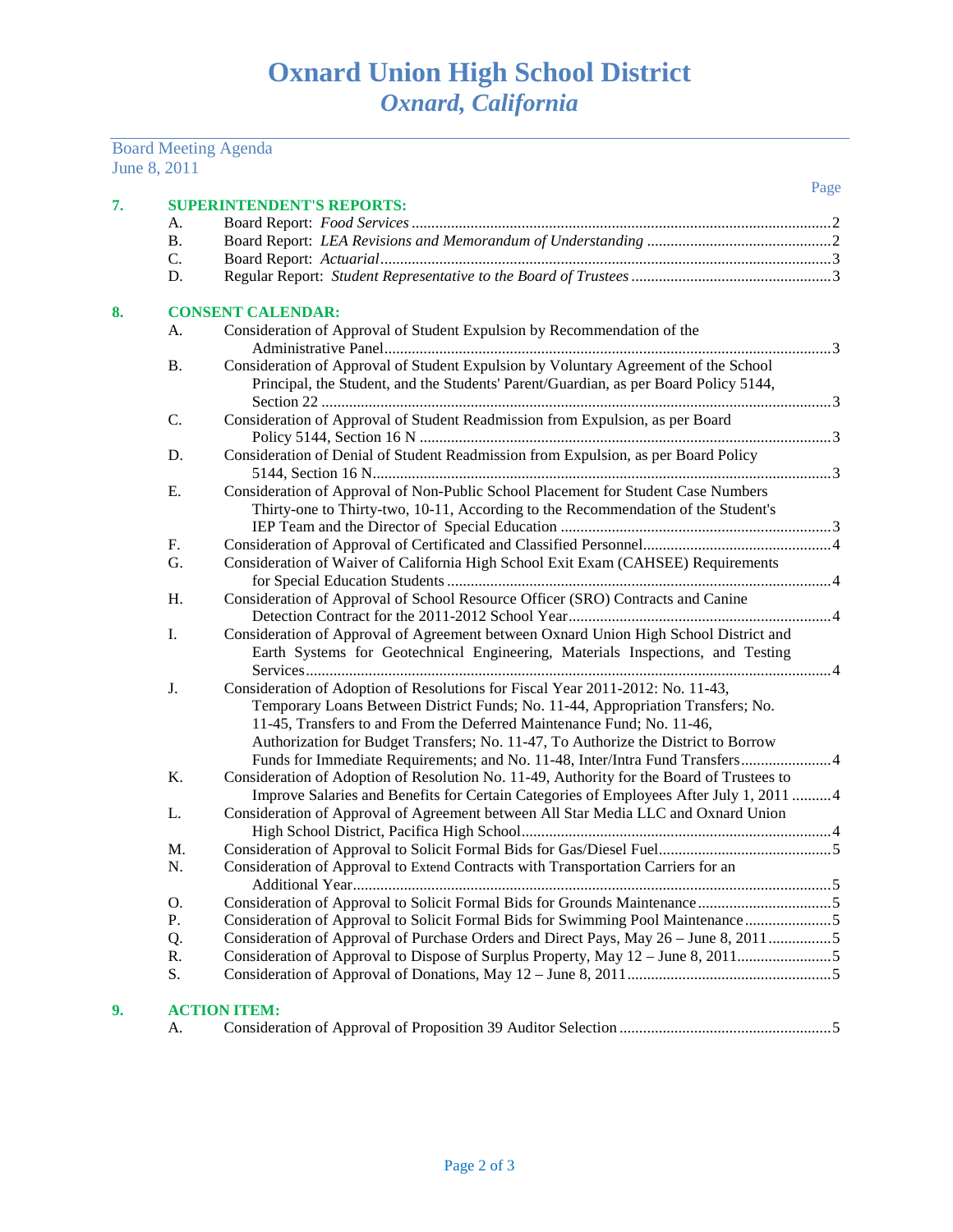### Page **7. SUPERINTENDENT'S REPORTS:** A. Board Report: *Food Services*...........................................................................................................2 B. Board Report: *LEA Revisions and Memorandum of Understanding* ...............................................2 C. Board Report: *Actuarial*...................................................................................................................3 D. Regular Report: *Student Representative to the Board of Trustees*...................................................3 **8. CONSENT CALENDAR:** A. Consideration of Approval of Student Expulsion by Recommendation of the Administrative Panel..................................................................................................................3 B. Consideration of Approval of Student Expulsion by Voluntary Agreement of the School Principal, the Student, and the Students' Parent/Guardian, as per Board Policy 5144, Section 22 ..................................................................................................................................3 C. Consideration of Approval of Student Readmission from Expulsion, as per Board Policy 5144, Section 16 N .........................................................................................................3 D. Consideration of Denial of Student Readmission from Expulsion, as per Board Policy 5144, Section 16 N.....................................................................................................................3 E. Consideration of Approval of Non-Public School Placement for Student Case Numbers Thirty-one to Thirty-two, 10-11, According to the Recommendation of the Student's IEP Team and the Director of Special Education .....................................................................3 F. Consideration of Approval of Certificated and Classified Personnel................................................4 G. Consideration of Waiver of California High School Exit Exam (CAHSEE) Requirements for Special Education Students..................................................................................................4 H. Consideration of Approval of School Resource Officer (SRO) Contracts and Canine Detection Contract for the 2011-2012 School Year...................................................................4 I. Consideration of Approval of Agreement between Oxnard Union High School District and Earth Systems for Geotechnical Engineering, Materials Inspections, and Testing Services......................................................................................................................................4 J. Consideration of Adoption of Resolutions for Fiscal Year 2011-2012: No. 11-43, Temporary Loans Between District Funds; No. 11-44, Appropriation Transfers; No. 11-45, Transfers to and From the Deferred Maintenance Fund; No. 11-46, Authorization for Budget Transfers; No. 11-47, To Authorize the District to Borrow Funds for Immediate Requirements; and No. 11-48, Inter/Intra Fund Transfers.......................4 K. Consideration of Adoption of Resolution No. 11-49, Authority for the Board of Trustees to Improve Salaries and Benefits for Certain Categories of Employees After July 1, 2011 ..........4 L. Consideration of Approval of Agreement between All Star Media LLC and Oxnard Union High School District, Pacifica High School...............................................................................4 M. Consideration of Approval to Solicit Formal Bids for Gas/Diesel Fuel............................................5 N. Consideration of Approval to Extend Contracts with Transportation Carriers for an Additional Year..........................................................................................................................5 O. Consideration of Approval to Solicit Formal Bids for Grounds Maintenance ..................................5 P. Consideration of Approval to Solicit Formal Bids for Swimming Pool Maintenance ......................5 Q. Consideration of Approval of Purchase Orders and Direct Pays, May 26 – June 8, 2011................5 R. Consideration of Approval to Dispose of Surplus Property, May 12 – June 8, 2011........................5 S. Consideration of Approval of Donations, May 12 – June 8, 2011....................................................5

### **9. ACTION ITEM:**

Board Meeting Agenda

June 8, 2011

| А. |  |  |
|----|--|--|
|----|--|--|